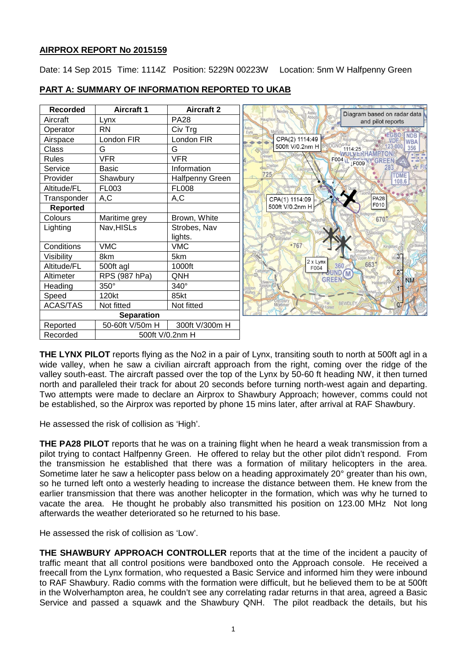# **AIRPROX REPORT No 2015159**

Date: 14 Sep 2015 Time: 1114Z Position: 5229N 00223W Location: 5nm W Halfpenny Green

| <b>Recorded</b>             | <b>Aircraft 1</b> | <b>Aircraft 2</b>      | Nordiey<br>Diagram based on radar data                     |
|-----------------------------|-------------------|------------------------|------------------------------------------------------------|
| Aircraft                    | Lynx              | <b>PA28</b>            | Abbol<br>tauchton<br>and pilot reports                     |
| Operator                    | <b>RN</b>         | Civ Trg                |                                                            |
| Airspace                    | London FIR        | London FIR             | <b>IEGBO</b><br><b>NDR</b><br>CPA(2) 1114:49<br><b>WBA</b> |
| Class                       | G                 | G                      | 500ft V/0.2nm H<br>356<br>1114:25                          |
| <b>Rules</b>                | <b>VFR</b>        | VFR                    | F004   [<br>LF009                                          |
| Service                     | <b>Basic</b>      | Information            |                                                            |
| Provider                    | Shawbury          | <b>Halfpenny Green</b> | 725<br>TDME<br>108.6                                       |
| Altitude/FL                 | FL003             | <b>FL008</b>           | Neenton                                                    |
| Transponder                 | A,C               | A,C                    | <b>PA28</b><br>CPA(1) 1114:09                              |
| <b>Reported</b>             |                   |                        | F010<br>500ft V/0.2nm H                                    |
| Colours                     | Maritime grey     | Brown, White           | 670                                                        |
| Lighting                    | Nav, HISLs        | Strobes, Nav           |                                                            |
|                             |                   | lights.                |                                                            |
| Conditions                  | <b>VMC</b>        | <b>VMC</b>             | $-767$                                                     |
| Visibility                  | 8km               | 5km                    | $3^-$<br>2 x Lynx                                          |
| Altitude/FL                 | 500ft agl         | 1000ft                 | 663<br>360<br>F004<br>2 <sup>7</sup>                       |
| Altimeter                   | RPS (987 hPa)     | QNH                    | M<br><b>GREEN</b><br><b>NM</b>                             |
| Heading                     | 350°              | $340^\circ$            |                                                            |
| Speed                       | 120kt             | 85kt                   |                                                            |
| <b>ACAS/TAS</b>             | Not fitted        | Not fitted             | BEWDLEY<br>$0-$<br><b>O</b> Far                            |
| <b>Separation</b>           |                   |                        |                                                            |
| Reported                    | 50-60ft V/50m H   | 300ft V/300m H         |                                                            |
| Recorded<br>500ft V/0.2nm H |                   |                        |                                                            |

# **PART A: SUMMARY OF INFORMATION REPORTED TO UKAB**

**THE LYNX PILOT** reports flying as the No2 in a pair of Lynx, transiting south to north at 500ft agl in a wide valley, when he saw a civilian aircraft approach from the right, coming over the ridge of the valley south-east. The aircraft passed over the top of the Lynx by 50-60 ft heading NW, it then turned north and paralleled their track for about 20 seconds before turning north-west again and departing. Two attempts were made to declare an Airprox to Shawbury Approach; however, comms could not be established, so the Airprox was reported by phone 15 mins later, after arrival at RAF Shawbury.

He assessed the risk of collision as 'High'.

**THE PA28 PILOT** reports that he was on a training flight when he heard a weak transmission from a pilot trying to contact Halfpenny Green. He offered to relay but the other pilot didn't respond. From the transmission he established that there was a formation of military helicopters in the area. Sometime later he saw a helicopter pass below on a heading approximately 20° greater than his own, so he turned left onto a westerly heading to increase the distance between them. He knew from the earlier transmission that there was another helicopter in the formation, which was why he turned to vacate the area. He thought he probably also transmitted his position on 123.00 MHz Not long afterwards the weather deteriorated so he returned to his base.

He assessed the risk of collision as 'Low'.

**THE SHAWBURY APPROACH CONTROLLER** reports that at the time of the incident a paucity of traffic meant that all control positions were bandboxed onto the Approach console. He received a freecall from the Lynx formation, who requested a Basic Service and informed him they were inbound to RAF Shawbury. Radio comms with the formation were difficult, but he believed them to be at 500ft in the Wolverhampton area, he couldn't see any correlating radar returns in that area, agreed a Basic Service and passed a squawk and the Shawbury QNH. The pilot readback the details, but his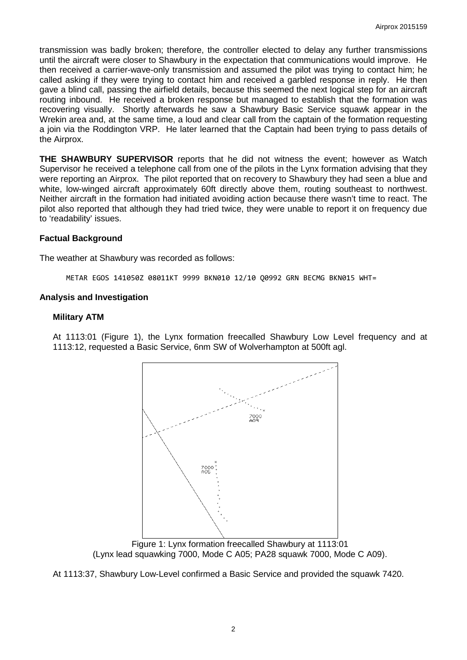transmission was badly broken; therefore, the controller elected to delay any further transmissions until the aircraft were closer to Shawbury in the expectation that communications would improve. He then received a carrier-wave-only transmission and assumed the pilot was trying to contact him; he called asking if they were trying to contact him and received a garbled response in reply. He then gave a blind call, passing the airfield details, because this seemed the next logical step for an aircraft routing inbound. He received a broken response but managed to establish that the formation was recovering visually. Shortly afterwards he saw a Shawbury Basic Service squawk appear in the Wrekin area and, at the same time, a loud and clear call from the captain of the formation requesting a join via the Roddington VRP. He later learned that the Captain had been trying to pass details of the Airprox.

**THE SHAWBURY SUPERVISOR** reports that he did not witness the event; however as Watch Supervisor he received a telephone call from one of the pilots in the Lynx formation advising that they were reporting an Airprox. The pilot reported that on recovery to Shawbury they had seen a blue and white, low-winged aircraft approximately 60ft directly above them, routing southeast to northwest. Neither aircraft in the formation had initiated avoiding action because there wasn't time to react. The pilot also reported that although they had tried twice, they were unable to report it on frequency due to 'readability' issues.

## **Factual Background**

The weather at Shawbury was recorded as follows:

METAR EGOS 141050Z 08011KT 9999 BKN010 12/10 Q0992 GRN BECMG BKN015 WHT=

#### **Analysis and Investigation**

#### **Military ATM**

At 1113:01 (Figure 1), the Lynx formation freecalled Shawbury Low Level frequency and at 1113:12, requested a Basic Service, 6nm SW of Wolverhampton at 500ft agl.



Figure 1: Lynx formation freecalled Shawbury at 1113:01 (Lynx lead squawking 7000, Mode C A05; PA28 squawk 7000, Mode C A09).

At 1113:37, Shawbury Low-Level confirmed a Basic Service and provided the squawk 7420.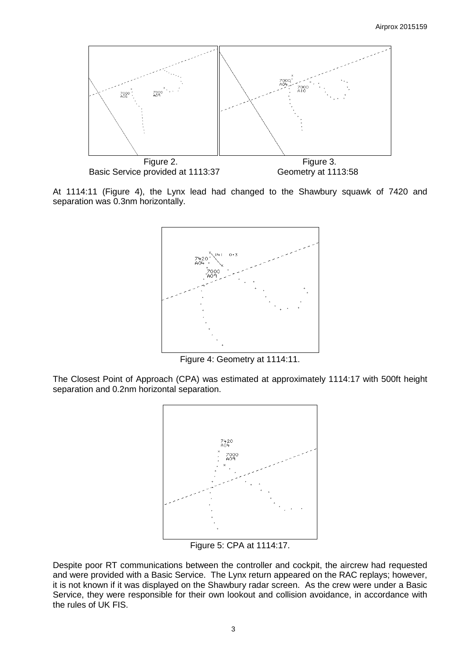

At 1114:11 (Figure 4), the Lynx lead had changed to the Shawbury squawk of 7420 and separation was 0.3nm horizontally.



Figure 4: Geometry at 1114:11.

The Closest Point of Approach (CPA) was estimated at approximately 1114:17 with 500ft height separation and 0.2nm horizontal separation.



Figure 5: CPA at 1114:17.

Despite poor RT communications between the controller and cockpit, the aircrew had requested and were provided with a Basic Service. The Lynx return appeared on the RAC replays; however, it is not known if it was displayed on the Shawbury radar screen. As the crew were under a Basic Service, they were responsible for their own lookout and collision avoidance, in accordance with the rules of UK FIS.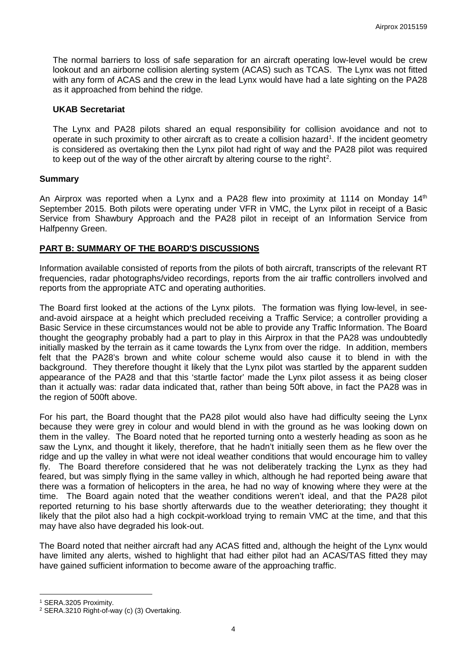The normal barriers to loss of safe separation for an aircraft operating low-level would be crew lookout and an airborne collision alerting system (ACAS) such as TCAS. The Lynx was not fitted with any form of ACAS and the crew in the lead Lynx would have had a late sighting on the PA28 as it approached from behind the ridge.

## **UKAB Secretariat**

The Lynx and PA28 pilots shared an equal responsibility for collision avoidance and not to operate in such proximity to other aircraft as to create a collision hazard<sup>[1](#page-3-0)</sup>. If the incident geometry is considered as overtaking then the Lynx pilot had right of way and the PA28 pilot was required to keep out of the way of the other aircraft by altering course to the right<sup>[2](#page-3-1)</sup>.

## **Summary**

An Airprox was reported when a Lynx and a PA28 flew into proximity at 1114 on Monday 14<sup>th</sup> September 2015. Both pilots were operating under VFR in VMC, the Lynx pilot in receipt of a Basic Service from Shawbury Approach and the PA28 pilot in receipt of an Information Service from Halfpenny Green.

## **PART B: SUMMARY OF THE BOARD'S DISCUSSIONS**

Information available consisted of reports from the pilots of both aircraft, transcripts of the relevant RT frequencies, radar photographs/video recordings, reports from the air traffic controllers involved and reports from the appropriate ATC and operating authorities.

The Board first looked at the actions of the Lynx pilots. The formation was flying low-level, in seeand-avoid airspace at a height which precluded receiving a Traffic Service; a controller providing a Basic Service in these circumstances would not be able to provide any Traffic Information. The Board thought the geography probably had a part to play in this Airprox in that the PA28 was undoubtedly initially masked by the terrain as it came towards the Lynx from over the ridge. In addition, members felt that the PA28's brown and white colour scheme would also cause it to blend in with the background. They therefore thought it likely that the Lynx pilot was startled by the apparent sudden appearance of the PA28 and that this 'startle factor' made the Lynx pilot assess it as being closer than it actually was: radar data indicated that, rather than being 50ft above, in fact the PA28 was in the region of 500ft above.

For his part, the Board thought that the PA28 pilot would also have had difficulty seeing the Lynx because they were grey in colour and would blend in with the ground as he was looking down on them in the valley. The Board noted that he reported turning onto a westerly heading as soon as he saw the Lynx, and thought it likely, therefore, that he hadn't initially seen them as he flew over the ridge and up the valley in what were not ideal weather conditions that would encourage him to valley fly. The Board therefore considered that he was not deliberately tracking the Lynx as they had feared, but was simply flying in the same valley in which, although he had reported being aware that there was a formation of helicopters in the area, he had no way of knowing where they were at the time. The Board again noted that the weather conditions weren't ideal, and that the PA28 pilot reported returning to his base shortly afterwards due to the weather deteriorating; they thought it likely that the pilot also had a high cockpit-workload trying to remain VMC at the time, and that this may have also have degraded his look-out.

The Board noted that neither aircraft had any ACAS fitted and, although the height of the Lynx would have limited any alerts, wished to highlight that had either pilot had an ACAS/TAS fitted they may have gained sufficient information to become aware of the approaching traffic.

l

<span id="page-3-0"></span><sup>1</sup> SERA.3205 Proximity.

<span id="page-3-1"></span><sup>2</sup> SERA.3210 Right-of-way (c) (3) Overtaking.